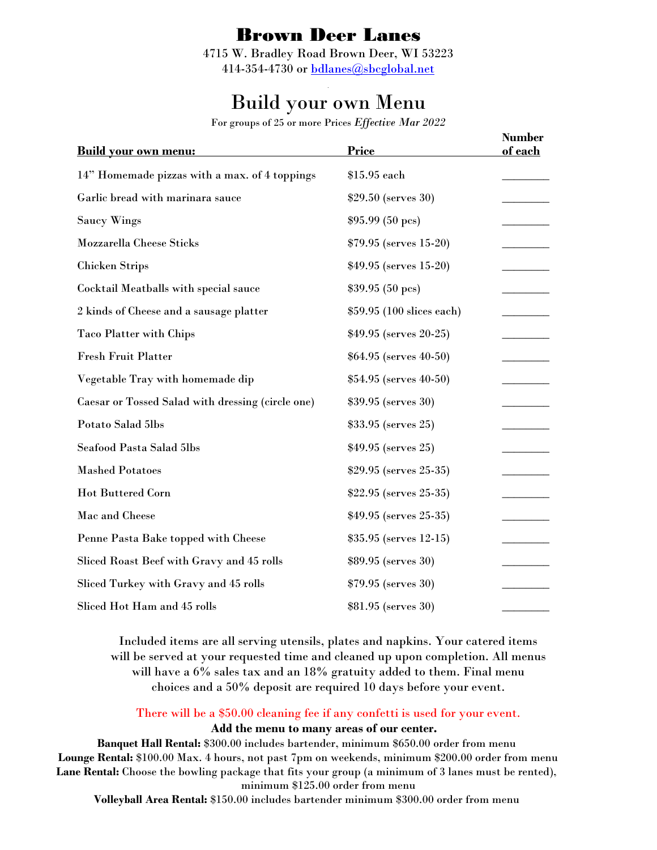## Brown Deer Lanes

4715 W. Bradley Road Brown Deer, WI 53223 414-354-4730 or [bdlanes@sbcglobal.net](mailto:bdlanes@sbcglobal.net)

## *.* Build your own Menu

For groups of 25 or more Prices *Effective Mar 2022*

| <b>Build your own menu:</b>                       | <b>Price</b>              | <b>Number</b><br>of each |
|---------------------------------------------------|---------------------------|--------------------------|
| 14" Homemade pizzas with a max. of 4 toppings     | \$15.95 each              |                          |
| Garlic bread with marinara sauce                  | \$29.50 (serves 30)       |                          |
| Saucy Wings                                       | \$95.99(50~pcs)           |                          |
| Mozzarella Cheese Sticks                          | $$79.95$ (serves 15-20)   |                          |
| <b>Chicken Strips</b>                             | $$49.95$ (serves 15-20)   |                          |
| Cocktail Meatballs with special sauce             | \$39.95 (50 pcs)          |                          |
| 2 kinds of Cheese and a sausage platter           | \$59.95 (100 slices each) |                          |
| <b>Taco Platter with Chips</b>                    | $$49.95$ (serves 20-25)   |                          |
| <b>Fresh Fruit Platter</b>                        | $$64.95$ (serves 40-50)   |                          |
| Vegetable Tray with homemade dip                  | $$54.95$ (serves 40-50)   |                          |
| Caesar or Tossed Salad with dressing (circle one) | \$39.95 (serves 30)       |                          |
| Potato Salad 5lbs                                 | \$33.95 (serves 25)       |                          |
| Seafood Pasta Salad 5lbs                          | \$49.95 (serves 25)       |                          |
| <b>Mashed Potatoes</b>                            | $$29.95$ (serves 25-35)   |                          |
| <b>Hot Buttered Corn</b>                          | \$22.95 (serves 25-35)    |                          |
| Mac and Cheese                                    | $$49.95$ (serves 25-35)   |                          |
| Penne Pasta Bake topped with Cheese               | $$35.95$ (serves 12-15)   |                          |
| Sliced Roast Beef with Gravy and 45 rolls         | \$89.95 (serves 30)       |                          |
| Sliced Turkey with Gravy and 45 rolls             | \$79.95 (serves 30)       |                          |
| Sliced Hot Ham and 45 rolls                       | \$81.95 (serves 30)       |                          |

Included items are all serving utensils, plates and napkins. Your catered items will be served at your requested time and cleaned up upon completion. All menus will have a 6% sales tax and an 18% gratuity added to them. Final menu choices and a 50% deposit are required 10 days before your event.

There will be a \$50.00 cleaning fee if any confetti is used for your event.

## **Add the menu to many areas of our center.**

**Banquet Hall Rental:** \$300.00 includes bartender, minimum \$650.00 order from menu **Lounge Rental:** \$100.00 Max. 4 hours, not past 7pm on weekends, minimum \$200.00 order from menu **Lane Rental:** Choose the bowling package that fits your group (a minimum of 3 lanes must be rented), minimum \$125.00 order from menu

**Volleyball Area Rental:** \$150.00 includes bartender minimum \$300.00 order from menu